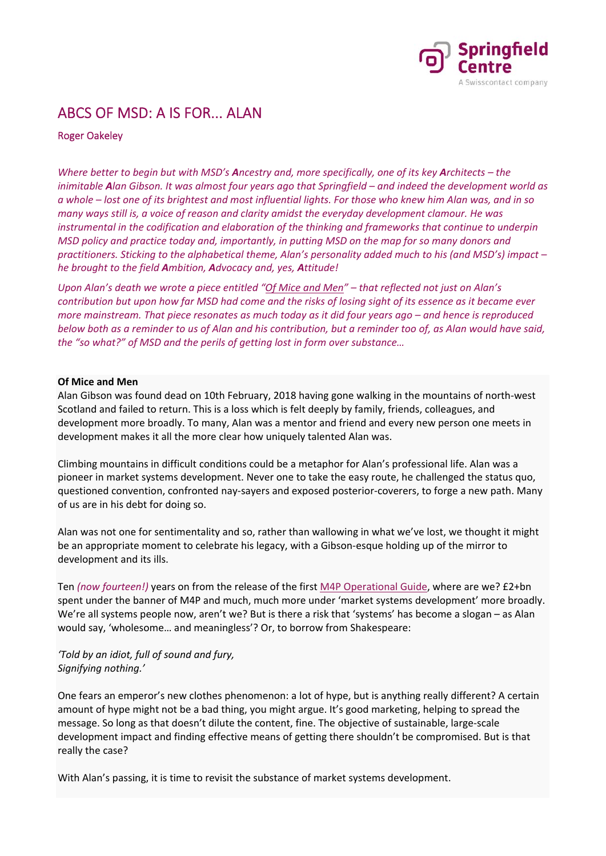

## ABCS OF MSD: A IS FOR... ALAN

## Roger Oakeley

*Where better to begin but with MSD's Ancestry and, more specifically, one of its key Architects – the inimitable Alan Gibson. It was almost four years ago that Springfield – and indeed the development world as a whole – lost one of its brightest and most influential lights. For those who knew him Alan was, and in so many ways still is, a voice of reason and clarity amidst the everyday development clamour. He was instrumental in the codification and elaboration of the thinking and frameworks that continue to underpin MSD policy and practice today and, importantly, in putting MSD on the map for so many donors and practitioners. Sticking to the alphabetical theme, Alan's personality added much to his (and MSD's) impact – he brought to the field Ambition, Advocacy and, yes, Attitude!* 

*Upon Alan's death we wrote a piece entitled "Of Mice and Men" – that reflected not just on Alan's contribution but upon how far MSD had come and the risks of losing sight of its essence as it became ever more mainstream. That piece resonates as much today as it did four years ago – and hence is reproduced below both as a reminder to us of Alan and his contribution, but a reminder too of, as Alan would have said, the "so what?" of MSD and the perils of getting lost in form over substance…* 

## **Of Mice and Men**

Alan Gibson was found dead on 10th February, 2018 having gone walking in the mountains of north‐west Scotland and failed to return. This is a loss which is felt deeply by family, friends, colleagues, and development more broadly. To many, Alan was a mentor and friend and every new person one meets in development makes it all the more clear how uniquely talented Alan was.

Climbing mountains in difficult conditions could be a metaphor for Alan's professional life. Alan was a pioneer in market systems development. Never one to take the easy route, he challenged the status quo, questioned convention, confronted nay‐sayers and exposed posterior‐coverers, to forge a new path. Many of us are in his debt for doing so.

Alan was not one for sentimentality and so, rather than wallowing in what we've lost, we thought it might be an appropriate moment to celebrate his legacy, with a Gibson-esque holding up of the mirror to development and its ills.

Ten *(now fourteen!)* years on from the release of the first M4P Operational Guide, where are we? £2+bn spent under the banner of M4P and much, much more under 'market systems development' more broadly. We're all systems people now, aren't we? But is there a risk that 'systems' has become a slogan – as Alan would say, 'wholesome… and meaningless'? Or, to borrow from Shakespeare:

*'Told by an idiot, full of sound and fury, Signifying nothing.'*

One fears an emperor's new clothes phenomenon: a lot of hype, but is anything really different? A certain amount of hype might not be a bad thing, you might argue. It's good marketing, helping to spread the message. So long as that doesn't dilute the content, fine. The objective of sustainable, large‐scale development impact and finding effective means of getting there shouldn't be compromised. But is that really the case?

With Alan's passing, it is time to revisit the substance of market systems development.